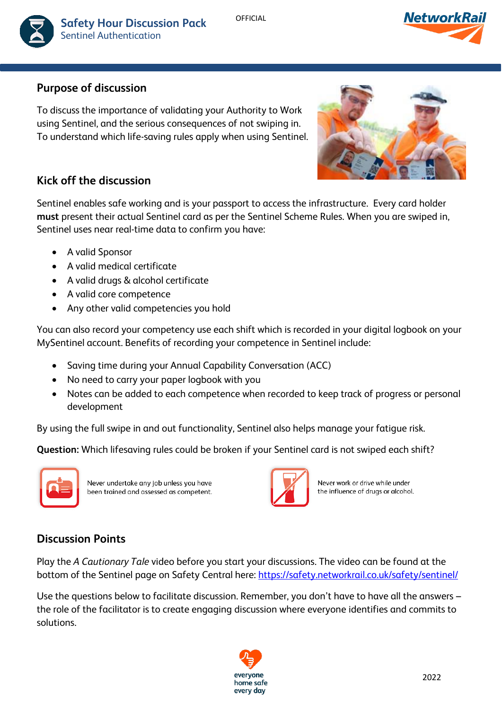

**OFFICIAL** 



# **Purpose of discussion**

To discuss the importance of validating your Authority to Work using Sentinel, and the serious consequences of not swiping in. To understand which life-saving rules apply when using Sentinel.



# **Kick off the discussion**

Sentinel enables safe working and is your passport to access the infrastructure. Every card holder **must** present their actual Sentinel card as per the Sentinel Scheme Rules. When you are swiped in, Sentinel uses near real-time data to confirm you have:

- A valid Sponsor
- A valid medical certificate
- A valid drugs & alcohol certificate
- A valid core competence
- Any other valid competencies you hold

You can also record your competency use each shift which is recorded in your digital logbook on your MySentinel account. Benefits of recording your competence in Sentinel include:

- Saving time during your Annual Capability Conversation (ACC)
- No need to carry your paper logbook with you
- Notes can be added to each competence when recorded to keep track of progress or personal development

By using the full swipe in and out functionality, Sentinel also helps manage your fatigue risk.

**Question:** Which lifesaving rules could be broken if your Sentinel card is not swiped each shift?



Never undertake any job unless you have been trained and assessed as competent.



Never work or drive while under the influence of drugs or alcohol.

## **Discussion Points**

Play the *A Cautionary Tale* video before you start your discussions. The video can be found at the bottom of the Sentinel page on Safety Central here:<https://safety.networkrail.co.uk/safety/sentinel/>

Use the questions below to facilitate discussion. Remember, you don't have to have all the answers – the role of the facilitator is to create engaging discussion where everyone identifies and commits to solutions.

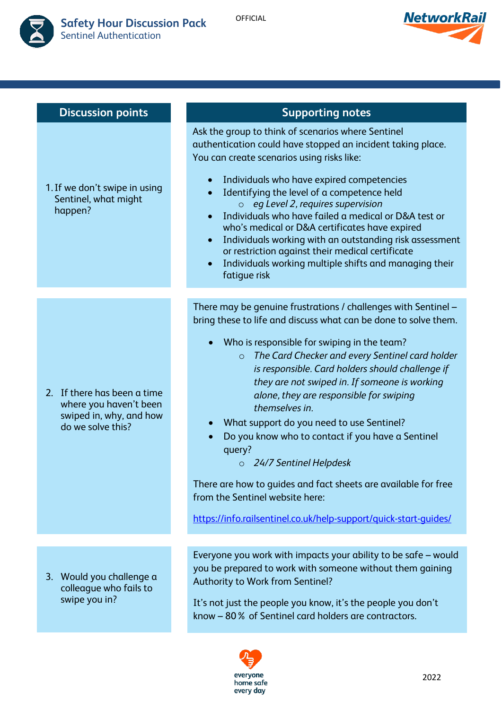



| <b>Discussion points</b>                                                                              | <b>Supporting notes</b>                                                                                                                                                                                                                                                                                                                                                                                                                                                                                                                                                                                                                                                                                                                    |
|-------------------------------------------------------------------------------------------------------|--------------------------------------------------------------------------------------------------------------------------------------------------------------------------------------------------------------------------------------------------------------------------------------------------------------------------------------------------------------------------------------------------------------------------------------------------------------------------------------------------------------------------------------------------------------------------------------------------------------------------------------------------------------------------------------------------------------------------------------------|
| 1. If we don't swipe in using<br>Sentinel, what might<br>happen?                                      | Ask the group to think of scenarios where Sentinel<br>authentication could have stopped an incident taking place.<br>You can create scenarios using risks like:<br>Individuals who have expired competencies<br>Identifying the level of a competence held<br>$\circ$ eg Level 2, requires supervision<br>Individuals who have failed a medical or D&A test or<br>who's medical or D&A certificates have expired<br>Individuals working with an outstanding risk assessment<br>or restriction against their medical certificate<br>Individuals working multiple shifts and managing their<br>fatigue risk                                                                                                                                  |
|                                                                                                       |                                                                                                                                                                                                                                                                                                                                                                                                                                                                                                                                                                                                                                                                                                                                            |
| 2. If there has been a time<br>where you haven't been<br>swiped in, why, and how<br>do we solve this? | There may be genuine frustrations / challenges with Sentinel -<br>bring these to life and discuss what can be done to solve them.<br>Who is responsible for swiping in the team?<br>The Card Checker and every Sentinel card holder<br>$\circ$<br>is responsible. Card holders should challenge if<br>they are not swiped in. If someone is working<br>alone, they are responsible for swiping<br>themselves in.<br>What support do you need to use Sentinel?<br>Do you know who to contact if you have a Sentinel<br>query?<br>24/7 Sentinel Helpdesk<br>$\circ$<br>There are how to guides and fact sheets are available for free<br>from the Sentinel website here:<br>https://info.railsentinel.co.uk/help-support/quick-start-quides/ |
|                                                                                                       |                                                                                                                                                                                                                                                                                                                                                                                                                                                                                                                                                                                                                                                                                                                                            |
| 3. Would you challenge a<br>colleague who fails to<br>swipe you in?                                   | Everyone you work with impacts your ability to be safe - would<br>you be prepared to work with someone without them gaining<br>Authority to Work from Sentinel?<br>It's not just the people you know, it's the people you don't<br>know - 80% of Sentinel card holders are contractors.                                                                                                                                                                                                                                                                                                                                                                                                                                                    |